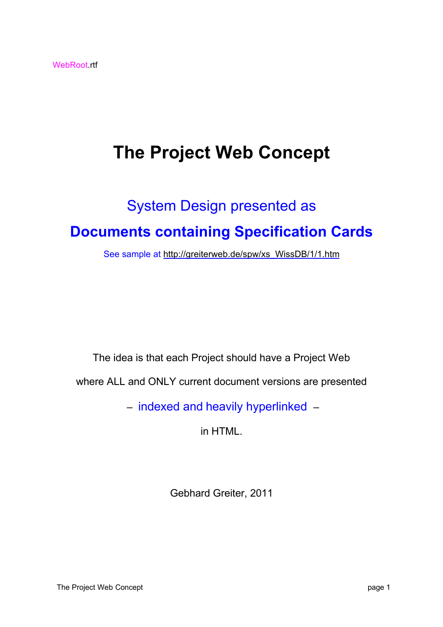# **The Project Web Concept**

# System Design presented as **Documents containing Specification Cards**

See sample at [http://greiterweb.de/spw/xs\\_WissDB/1/1.htm](http://greiterweb.de/spw/xs_WissDB/1/1.htm)

The idea is that each Project should have a Project Web

where ALL and ONLY current document versions are presented

– indexed and heavily hyperlinked –

in HTML.

Gebhard Greiter, 2011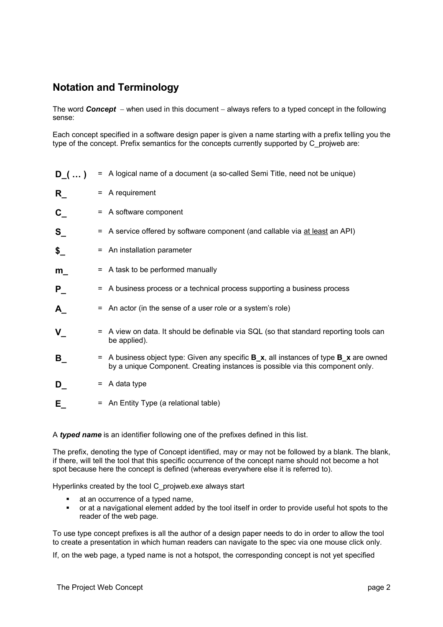## **Notation and Terminology**

The word **Concept** – when used in this document – always refers to a typed concept in the following sense:

Each concept specified in a software design paper is given a name starting with a prefix telling you the type of the concept. Prefix semantics for the concepts currently supported by C\_projweb are:

**D\_( ... )** = A logical name of a document (a so-called Semi Title, need not be unique) **R\_** = A requirement **C\_** = A software component **S** = A service offered by software component (and callable via at least an API) **\$\_** = An installation parameter **m** = A task to be performed manually **P**  $=$  A business process or a technical process supporting a business process **A\_** = An actor (in the sense of a user role or a system's role) **V** = A view on data. It should be definable via SQL (so that standard reporting tools can be applied). **B\_** = A business object type: Given any specific **B\_x**, all instances of type **B\_x** are owned by a unique Component. Creating instances is possible via this component only. **D** = A data type **E** = An Entity Type (a relational table)

A *typed name* is an identifier following one of the prefixes defined in this list.

The prefix, denoting the type of Concept identified, may or may not be followed by a blank. The blank, if there, will tell the tool that this specific occurrence of the concept name should not become a hot spot because here the concept is defined (whereas everywhere else it is referred to).

Hyperlinks created by the tool C\_projweb.exe always start

- **at an occurrence of a typed name,**
- or at a navigational element added by the tool itself in order to provide useful hot spots to the reader of the web page.

To use type concept prefixes is all the author of a design paper needs to do in order to allow the tool to create a presentation in which human readers can navigate to the spec via one mouse click only.

If, on the web page, a typed name is not a hotspot, the corresponding concept is not yet specified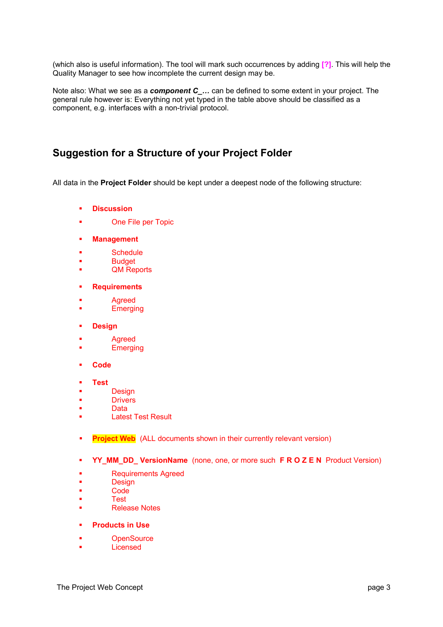(which also is useful information). The tool will mark such occurrences by adding **[?]**. This will help the Quality Manager to see how incomplete the current design may be.

Note also: What we see as a *component C\_…* can be defined to some extent in your project. The general rule however is: Everything not yet typed in the table above should be classified as a component, e.g. interfaces with a non-trivial protocol.

## **Suggestion for a Structure of your Project Folder**

All data in the **Project Folder** should be kept under a deepest node of the following structure:

- **Discussion**
- **Cone File per Topic**
- **Management**
- **Schedule**
- **Budget**
- **Allehorne** CM Reports
- **Requirements**
- **Agreed**
- **Emerging**
- **PDesign**
- **Agreed**
- **Emerging**
- **Code**
- **Test**
- **Design**
- **Drivers**
- Data
- **Example 3** Latest Test Result
- **Project Web** (ALL documents shown in their currently relevant version)
- **YY MM DD VersionName** (none, one, or more such **F R O Z E N** Product Version)
- **Requirements Agreed**
- **Design**
- Code
- **Test**
- Release Notes
- **Products in Use**
- **CDENSOURCE**
- **Licensed**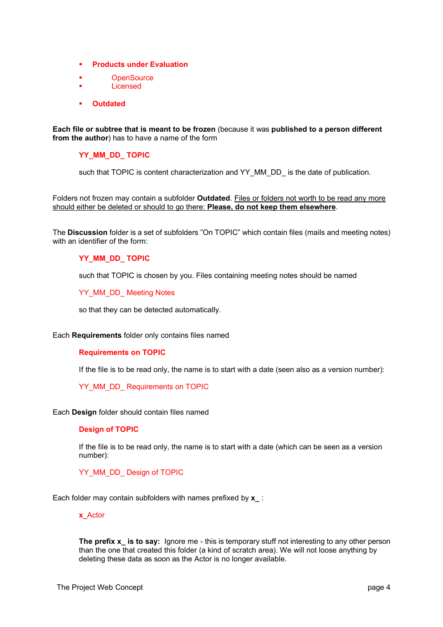- **Products under Evaluation**
- **OpenSource**
- Licensed
- **Outdated**

**Each file or subtree that is meant to be frozen** (because it was **published to a person different from the author**) has to have a name of the form

### **YY\_MM\_DD\_ TOPIC**

such that TOPIC is content characterization and YY\_MM\_DD\_ is the date of publication.

Folders not frozen may contain a subfolder **Outdated**. Files or folders not worth to be read any more should either be deleted or should to go there: **Please, do not keep them elsewhere**.

The **Discussion** folder is a set of subfolders "On TOPIC" which contain files (mails and meeting notes) with an identifier of the form:

### **YY\_MM\_DD\_ TOPIC**

such that TOPIC is chosen by you. Files containing meeting notes should be named

YY MM DD Meeting Notes

so that they can be detected automatically.

#### Each **Requirements** folder only contains files named

#### **Requirements on TOPIC**

If the file is to be read only, the name is to start with a date (seen also as a version number):

#### YY\_MM\_DD\_ Requirements on TOPIC

#### Each **Design** folder should contain files named

#### **Design of TOPIC**

If the file is to be read only, the name is to start with a date (which can be seen as a version number):

#### YY\_MM\_DD\_ Design of TOPIC

Each folder may contain subfolders with names prefixed by **x\_** :

#### **x\_**Actor

**The prefix x\_ is to say:** Ignore me - this is temporary stuff not interesting to any other person than the one that created this folder (a kind of scratch area). We will not loose anything by deleting these data as soon as the Actor is no longer available.